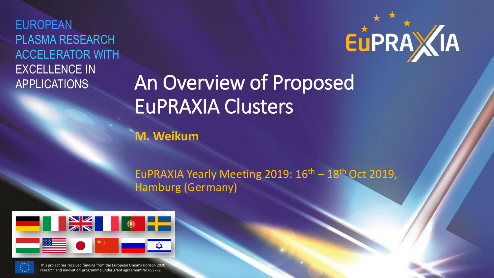EUROPEAN PLASMA RESEARCH ACCELERATOR WITH EXCELLENCE IN APPLICATIONS



# An Overview of Proposed EuPRAXIA Clusters

**M. Weikum**

EuPRAXIA Yearly Meeting 2019:  $16<sup>th</sup> - 18<sup>th</sup>$  Oct 2019, Hamburg (Germany)





This project has received funding from the European Union's Horizon 2020 research and innovation programme under grant agreement No 653782.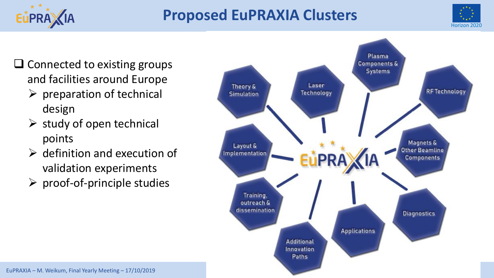#### **Proposed EuPRAXIA Clusters**



❑ Connected to existing groups and facilities around Europe

ELPRAXIA

- $\triangleright$  preparation of technical design
- $\triangleright$  study of open technical points
- $\triangleright$  definition and execution of validation experiments
- $\triangleright$  proof-of-principle studies

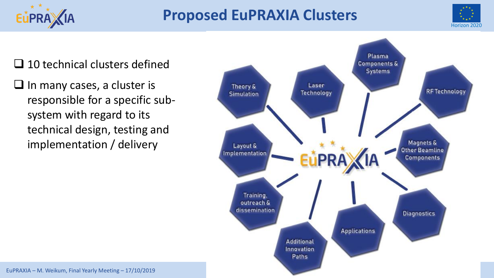



❑ 10 technical clusters defined

EUPRA / IA

 $\Box$  In many cases, a cluster is responsible for a specific subsystem with regard to its technical design, testing and implementation / delivery

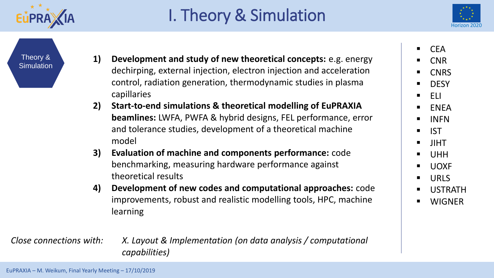

## I. Theory & Simulation



Theory & **Simulation** 

- **1) Development and study of new theoretical concepts:** e.g. energy dechirping, external injection, electron injection and acceleration control, radiation generation, thermodynamic studies in plasma capillaries
- **2) Start-to-end simulations & theoretical modelling of EuPRAXIA beamlines:** LWFA, PWFA & hybrid designs, FEL performance, error and tolerance studies, development of a theoretical machine model
- **3) Evaluation of machine and components performance:** code benchmarking, measuring hardware performance against theoretical results
- **4) Development of new codes and computational approaches:** code improvements, robust and realistic modelling tools, HPC, machine learning

*Close connections with: X. Layout & Implementation (on data analysis / computational capabilities)*

**CEA** 

- **CNR**
- **CNRS**
- DESY
- ELI
- ENEA
- INFN
- IST
- JIHT
- UHH
- UOXF
- URLS
- **USTRATH**
- **WIGNER**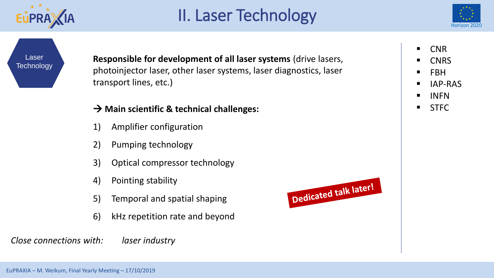

#### II. Laser Technology



Laser **Technology** 

**Responsible for development of all laser systems** (drive lasers, photoinjector laser, other laser systems, laser diagnostics, laser transport lines, etc.)

#### → **Main scientific & technical challenges:**

- 1) Amplifier configuration
- 2) Pumping technology
- 3) Optical compressor technology
- 4) Pointing stability
- 5) Temporal and spatial shaping
- 6) kHz repetition rate and beyond

*Close connections with: laser industry*





- **CNRS**
- FBH
- IAP-RAS
- INFN
- STFC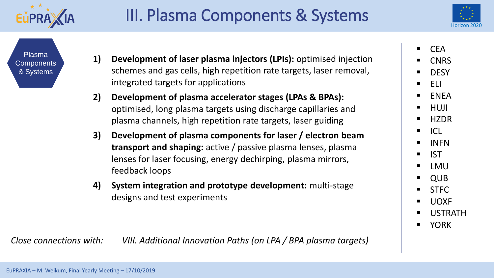



Plasma **Components** & Systems

- **1) Development of laser plasma injectors (LPIs):** optimised injection schemes and gas cells, high repetition rate targets, laser removal, integrated targets for applications
- **2) Development of plasma accelerator stages (LPAs & BPAs):**  optimised, long plasma targets using discharge capillaries and plasma channels, high repetition rate targets, laser guiding
- **3) Development of plasma components for laser / electron beam transport and shaping:** active / passive plasma lenses, plasma lenses for laser focusing, energy dechirping, plasma mirrors, feedback loops
- **4) System integration and prototype development:** multi-stage designs and test experiments

*Close connections with: VIII. Additional Innovation Paths (on LPA / BPA plasma targets)*

**CEA** 

**CNRS** 

**DESY** 

▪ ELI

- **ENEA**
- HUJI
- **HZDR**
- **ICL**
- INFN
- IST
- LMU

**QUB** 

- STFC
- UOXF
- **USTRATH**
- YORK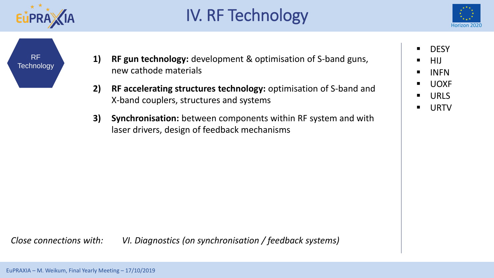

## IV. RF Technology



RF **Technology** 

- **1) RF gun technology:** development & optimisation of S-band guns, new cathode materials
- **2) RF accelerating structures technology:** optimisation of S-band and X-band couplers, structures and systems
- **3) Synchronisation:** between components within RF system and with laser drivers, design of feedback mechanisms

■ DESY

- **HIJ**
- **INFN**
- UOXF
- URLS
- URTV

*Close connections with: VI. Diagnostics (on synchronisation / feedback systems)*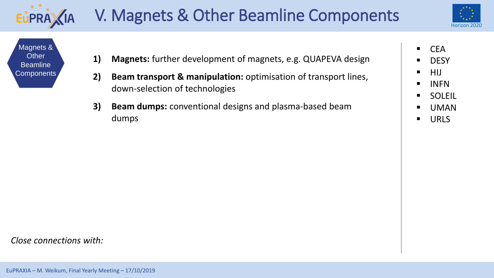





- **1) Magnets:** further development of magnets, e.g. QUAPEVA design
- **2) Beam transport & manipulation:** optimisation of transport lines, down-selection of technologies
- **3) Beam dumps:** conventional designs and plasma-based beam dumps
- CEA
- **DESY**
- HIJ
- INFN
- SOLEIL
- UMAN
- URLS

*Close connections with:*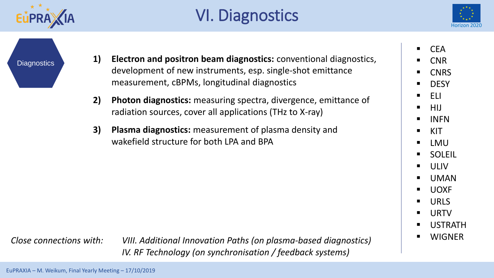

## VI. Diagnostics



**Diagnostics** 

- **1) Electron and positron beam diagnostics:** conventional diagnostics, development of new instruments, esp. single-shot emittance measurement, cBPMs, longitudinal diagnostics
- **2) Photon diagnostics:** measuring spectra, divergence, emittance of radiation sources, cover all applications (THz to X-ray)
- **3) Plasma diagnostics:** measurement of plasma density and wakefield structure for both LPA and BPA

 $\blacksquare$  CEA

- **CNR**
- **CNRS**
- DESY
- ELI
- HIJ
- INFN
- $\blacksquare$  KIT
- LMU
- SOLEIL
- ULIV
- **UMAN**
- UOXF
- URLS
- **URTV**
- USTRATH
- WIGNER

*Close connections with: VIII. Additional Innovation Paths (on plasma-based diagnostics) IV. RF Technology (on synchronisation / feedback systems)*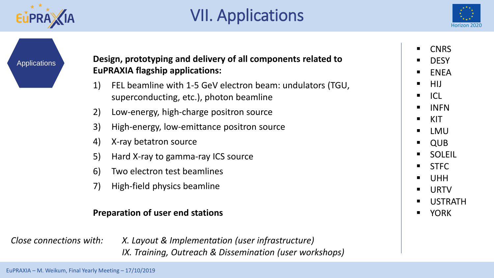

### VII. Applications



Applications **Design, prototyping and delivery of all components related to EuPRAXIA flagship applications:**

- 1) FEL beamline with 1-5 GeV electron beam: undulators (TGU, superconducting, etc.), photon beamline
- 2) Low-energy, high-charge positron source
- 3) High-energy, low-emittance positron source
- 4) X-ray betatron source
- 5) Hard X-ray to gamma-ray ICS source
- 6) Two electron test beamlines
- 7) High-field physics beamline

#### **Preparation of user end stations**

*Close connections with: X. Layout & Implementation (user infrastructure) IX. Training, Outreach & Dissemination (user workshops)* ▪ CNRS

**DESY** 

**ENEA** 

▪ HIJ

- $\blacksquare$  ICL
- INFN
- $\blacksquare$  KIT
- LMU
- QUB
- **SOLEIL**
- STFC
- UHH
- **URTV**
- **USTRATH**
- YORK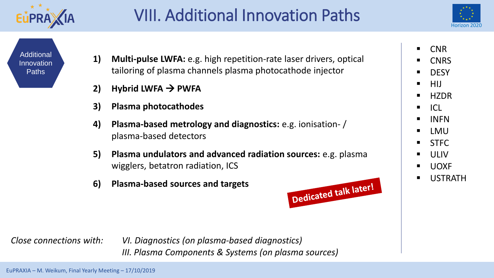

#### VIII. Additional Innovation Paths



**Additional** Innovation Paths

- **1) Multi-pulse LWFA:** e.g. high repetition-rate laser drivers, optical tailoring of plasma channels plasma photocathode injector
- **2) Hybrid LWFA**  $\rightarrow$  **PWFA**
- **3) Plasma photocathodes**
- **4) Plasma-based metrology and diagnostics:** e.g. ionisation- / plasma-based detectors
- **5) Plasma undulators and advanced radiation sources:** e.g. plasma wigglers, betatron radiation, ICS
- **6) Plasma-based sources and targets**



*Close connections with: VI. Diagnostics (on plasma-based diagnostics) III. Plasma Components & Systems (on plasma sources)* ■ CNR

- **CNRS**
- **DESY**
- HIJ
- HZDR
- ICL
- **INFN**
- LMU
- STFC
- ULIV<sub></sub>
- UOXF
- **USTRATH**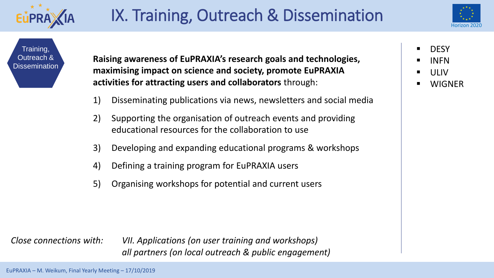

#### IX. Training, Outreach & Dissemination



Training, Outreach & **Dissemination** 

**Raising awareness of EuPRAXIA's research goals and technologies, maximising impact on science and society, promote EuPRAXIA activities for attracting users and collaborators** through:

- 1) Disseminating publications via news, newsletters and social media
- 2) Supporting the organisation of outreach events and providing educational resources for the collaboration to use
- 3) Developing and expanding educational programs & workshops
- 4) Defining a training program for EuPRAXIA users
- 5) Organising workshops for potential and current users

**DESY** 

- **INFN**
- ULIV<sub></sub>
- **WIGNER**

*Close connections with: VII. Applications (on user training and workshops) all partners (on local outreach & public engagement)*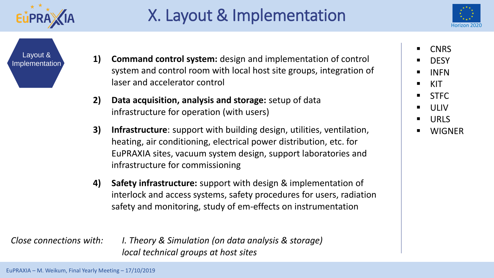

### X. Layout & Implementation



Layout &

- Implementation **1) Command control system:** design and implementation of control system and control room with local host site groups, integration of laser and accelerator control
	- **2) Data acquisition, analysis and storage:** setup of data infrastructure for operation (with users)
	- **3) Infrastructure**: support with building design, utilities, ventilation, heating, air conditioning, electrical power distribution, etc. for EuPRAXIA sites, vacuum system design, support laboratories and infrastructure for commissioning
	- **4) Safety infrastructure:** support with design & implementation of interlock and access systems, safety procedures for users, radiation safety and monitoring, study of em-effects on instrumentation

*Close connections with: I. Theory & Simulation (on data analysis & storage) local technical groups at host sites*

**CNRS** 

- **DESY**
- **INFN**
- $\blacksquare$  KIT
- STFC
- **ULIV**
- **URLS**
- **WIGNER**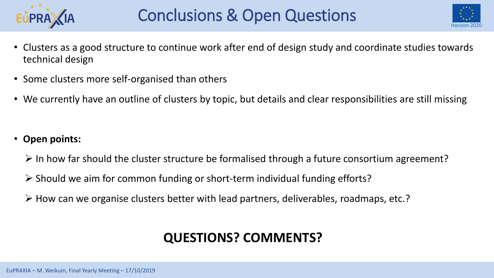



- Clusters as a good structure to continue work after end of design study and coordinate studies towards technical design
- Some clusters more self-organised than others
- We currently have an outline of clusters by topic, but details and clear responsibilities are still missing

- **Open points:**
	- $\triangleright$  In how far should the cluster structure be formalised through a future consortium agreement?
	- ➢ Should we aim for common funding or short-term individual funding efforts?
	- ➢ How can we organise clusters better with lead partners, deliverables, roadmaps, etc.?

#### **QUESTIONS? COMMENTS?**